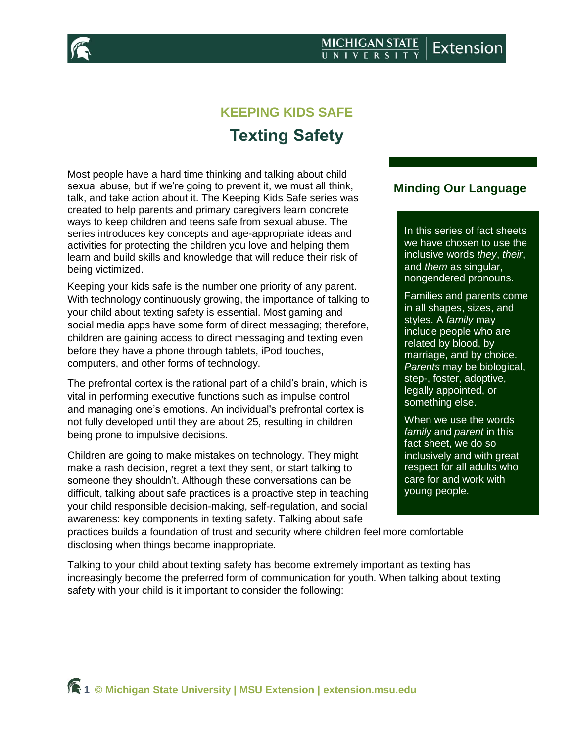



# **KEEPING KIDS SAFE Texting Safety**

Most people have a hard time thinking and talking about child sexual abuse, but if we're going to prevent it, we must all think, talk, and take action about it. The Keeping Kids Safe series was created to help parents and primary caregivers learn concrete ways to keep children and teens safe from sexual abuse. The series introduces key concepts and age-appropriate ideas and activities for protecting the children you love and helping them learn and build skills and knowledge that will reduce their risk of being victimized.

Keeping your kids safe is the number one priority of any parent. With technology continuously growing, the importance of talking to your child about texting safety is essential. Most gaming and social media apps have some form of direct messaging; therefore, children are gaining access to direct messaging and texting even before they have a phone through tablets, iPod touches, computers, and other forms of technology.

The prefrontal cortex is the rational part of a child's brain, which is vital in performing executive functions such as impulse control and managing one's emotions. An individual's prefrontal cortex is not fully developed until they are about 25, resulting in children being prone to impulsive decisions.

Children are going to make mistakes on technology. They might make a rash decision, regret a text they sent, or start talking to someone they shouldn't. Although these conversations can be difficult, talking about safe practices is a proactive step in teaching your child responsible decision-making, self-regulation, and social awareness: key components in texting safety. Talking about safe

practices builds a foundation of trust and security where children feel more comfortable disclosing when things become inappropriate.

Talking to your child about texting safety has become extremely important as texting has increasingly become the preferred form of communication for youth. When talking about texting safety with your child is it important to consider the following:

# **Minding Our Language**

In this series of fact sheets we have chosen to use the inclusive words *they*, *their*, and *them* as singular, nongendered pronouns.

Families and parents come in all shapes, sizes, and styles. A *family* may include people who are related by blood, by marriage, and by choice. *Parents* may be biological, step-, foster, adoptive, legally appointed, or something else.

When we use the words *family* and *parent* in this fact sheet, we do so inclusively and with great respect for all adults who care for and work with young people.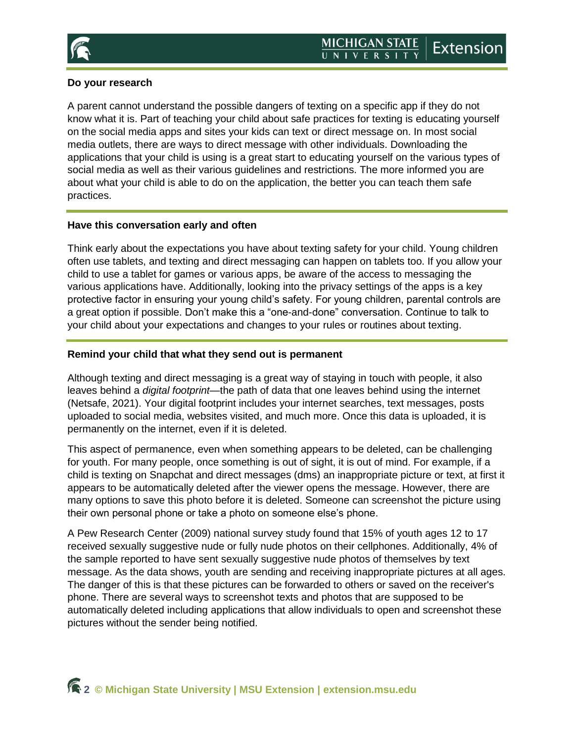

# **Do your research**

A parent cannot understand the possible dangers of texting on a specific app if they do not know what it is. Part of teaching your child about safe practices for texting is educating yourself on the social media apps and sites your kids can text or direct message on. In most social media outlets, there are ways to direct message with other individuals. Downloading the applications that your child is using is a great start to educating yourself on the various types of social media as well as their various guidelines and restrictions. The more informed you are about what your child is able to do on the application, the better you can teach them safe practices.

#### **Have this conversation early and often**

Think early about the expectations you have about texting safety for your child. Young children often use tablets, and texting and direct messaging can happen on tablets too. If you allow your child to use a tablet for games or various apps, be aware of the access to messaging the various applications have. Additionally, looking into the privacy settings of the apps is a key protective factor in ensuring your young child's safety. For young children, parental controls are a great option if possible. Don't make this a "one-and-done" conversation. Continue to talk to your child about your expectations and changes to your rules or routines about texting.

### **Remind your child that what they send out is permanent**

Although texting and direct messaging is a great way of staying in touch with people, it also leaves behind a *digital footprint*—the path of data that one leaves behind using the internet (Netsafe, 2021). Your digital footprint includes your internet searches, text messages, posts uploaded to social media, websites visited, and much more. Once this data is uploaded, it is permanently on the internet, even if it is deleted.

This aspect of permanence, even when something appears to be deleted, can be challenging for youth. For many people, once something is out of sight, it is out of mind. For example, if a child is texting on Snapchat and direct messages (dms) an inappropriate picture or text, at first it appears to be automatically deleted after the viewer opens the message. However, there are many options to save this photo before it is deleted. Someone can screenshot the picture using their own personal phone or take a photo on someone else's phone.

A Pew Research Center (2009) national survey study found that 15% of youth ages 12 to 17 received sexually suggestive nude or fully nude photos on their cellphones. Additionally, 4% of the sample reported to have sent sexually suggestive nude photos of themselves by text message. As the data shows, youth are sending and receiving inappropriate pictures at all ages. The danger of this is that these pictures can be forwarded to others or saved on the receiver's phone. There are several ways to screenshot texts and photos that are supposed to be automatically deleted including applications that allow individuals to open and screenshot these pictures without the sender being notified.

**2 © Michigan State University | MSU Extension | [extension.msu.edu](https://www.canr.msu.edu/outreach/)**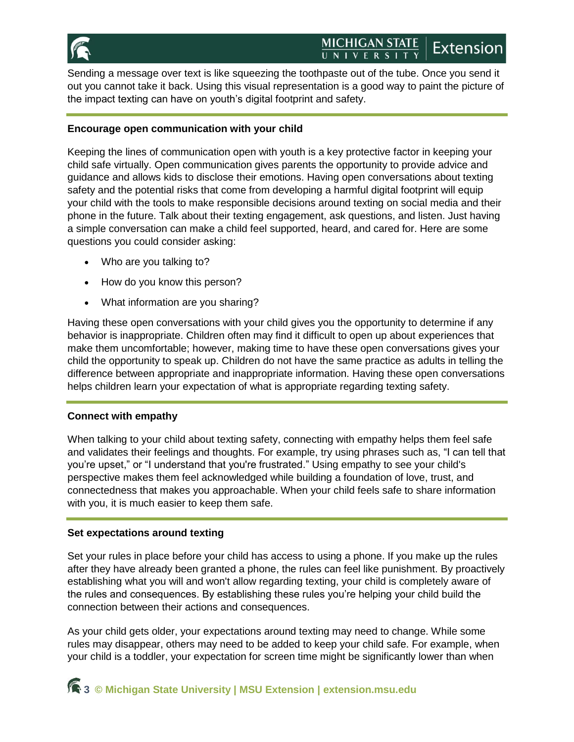

Sending a message over text is like squeezing the toothpaste out of the tube. Once you send it out you cannot take it back. Using this visual representation is a good way to paint the picture of the impact texting can have on youth's digital footprint and safety.

# **Encourage open communication with your child**

Keeping the lines of communication open with youth is a key protective factor in keeping your child safe virtually. Open communication gives parents the opportunity to provide advice and guidance and allows kids to disclose their emotions. Having open conversations about texting safety and the potential risks that come from developing a harmful digital footprint will equip your child with the tools to make responsible decisions around texting on social media and their phone in the future. Talk about their texting engagement, ask questions, and listen. Just having a simple conversation can make a child feel supported, heard, and cared for. Here are some questions you could consider asking:

- Who are you talking to?
- How do you know this person?
- What information are you sharing?

Having these open conversations with your child gives you the opportunity to determine if any behavior is inappropriate. Children often may find it difficult to open up about experiences that make them uncomfortable; however, making time to have these open conversations gives your child the opportunity to speak up. Children do not have the same practice as adults in telling the difference between appropriate and inappropriate information. Having these open conversations helps children learn your expectation of what is appropriate regarding texting safety.

# **Connect with empathy**

When talking to your child about texting safety, connecting with empathy helps them feel safe and validates their feelings and thoughts. For example, try using phrases such as, "I can tell that you're upset," or "I understand that you're frustrated." Using empathy to see your child's perspective makes them feel acknowledged while building a foundation of love, trust, and connectedness that makes you approachable. When your child feels safe to share information with you, it is much easier to keep them safe.

# **Set expectations around texting**

Set your rules in place before your child has access to using a phone. If you make up the rules after they have already been granted a phone, the rules can feel like punishment. By proactively establishing what you will and won't allow regarding texting, your child is completely aware of the rules and consequences. By establishing these rules you're helping your child build the connection between their actions and consequences.

As your child gets older, your expectations around texting may need to change. While some rules may disappear, others may need to be added to keep your child safe. For example, when your child is a toddler, your expectation for screen time might be significantly lower than when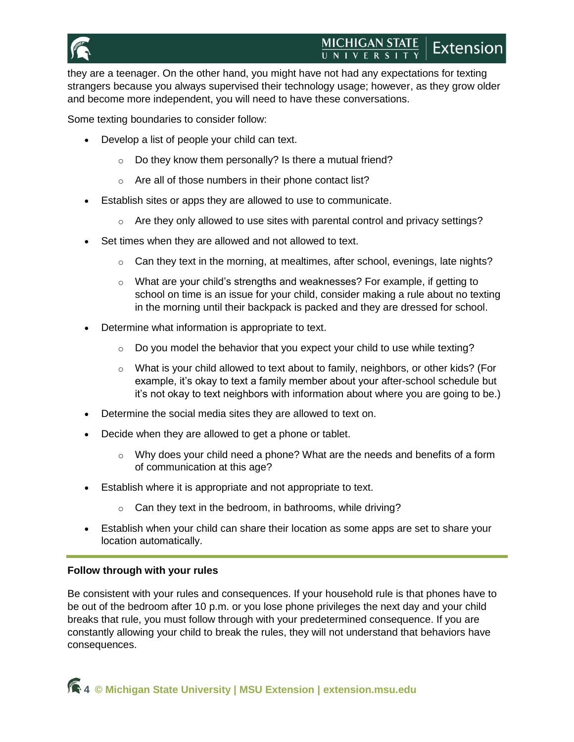

#### **MICHIGAN STATE** Extension UNIVERSITY

they are a teenager. On the other hand, you might have not had any expectations for texting strangers because you always supervised their technology usage; however, as they grow older and become more independent, you will need to have these conversations.

Some texting boundaries to consider follow:

- Develop a list of people your child can text.
	- $\circ$  Do they know them personally? Is there a mutual friend?
	- o Are all of those numbers in their phone contact list?
- Establish sites or apps they are allowed to use to communicate.
	- $\circ$  Are they only allowed to use sites with parental control and privacy settings?
- Set times when they are allowed and not allowed to text.
	- $\circ$  Can they text in the morning, at mealtimes, after school, evenings, late nights?
	- $\circ$  What are your child's strengths and weaknesses? For example, if getting to school on time is an issue for your child, consider making a rule about no texting in the morning until their backpack is packed and they are dressed for school.
- Determine what information is appropriate to text.
	- $\circ$  Do you model the behavior that you expect your child to use while texting?
	- $\circ$  What is your child allowed to text about to family, neighbors, or other kids? (For example, it's okay to text a family member about your after-school schedule but it's not okay to text neighbors with information about where you are going to be.)
- Determine the social media sites they are allowed to text on.
- Decide when they are allowed to get a phone or tablet.
	- $\circ$  Why does your child need a phone? What are the needs and benefits of a form of communication at this age?
- **Establish where it is appropriate and not appropriate to text.** 
	- $\circ$  Can they text in the bedroom, in bathrooms, while driving?
- Establish when your child can share their location as some apps are set to share your location automatically.

#### **Follow through with your rules**

Be consistent with your rules and consequences. If your household rule is that phones have to be out of the bedroom after 10 p.m. or you lose phone privileges the next day and your child breaks that rule, you must follow through with your predetermined consequence. If you are constantly allowing your child to break the rules, they will not understand that behaviors have consequences.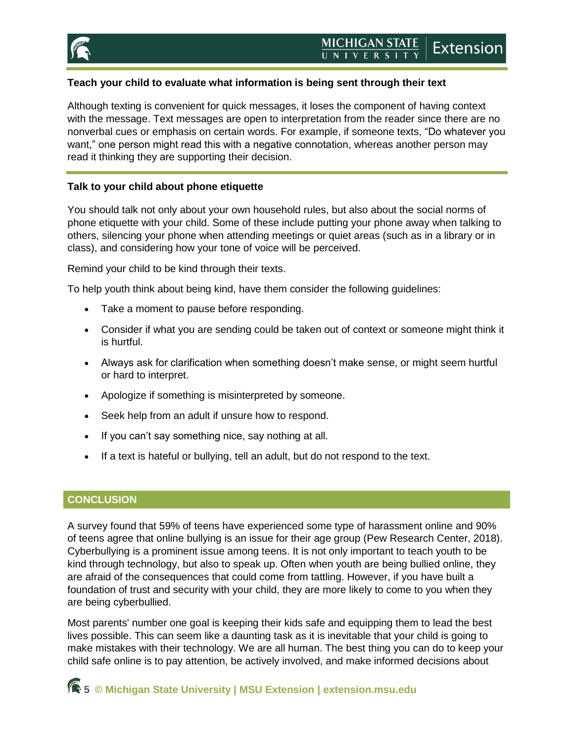

## **Teach your child to evaluate what information is being sent through their text**

Although texting is convenient for quick messages, it loses the component of having context with the message. Text messages are open to interpretation from the reader since there are no nonverbal cues or emphasis on certain words. For example, if someone texts, "Do whatever you want," one person might read this with a negative connotation, whereas another person may read it thinking they are supporting their decision.

#### **Talk to your child about phone etiquette**

You should talk not only about your own household rules, but also about the social norms of phone etiquette with your child. Some of these include putting your phone away when talking to others, silencing your phone when attending meetings or quiet areas (such as in a library or in class), and considering how your tone of voice will be perceived.

Remind your child to be kind through their texts.

To help youth think about being kind, have them consider the following guidelines:

- Take a moment to pause before responding.
- Consider if what you are sending could be taken out of context or someone might think it is hurtful.
- Always ask for clarification when something doesn't make sense, or might seem hurtful or hard to interpret.
- Apologize if something is misinterpreted by someone.
- Seek help from an adult if unsure how to respond.
- If you can't say something nice, say nothing at all.
- If a text is hateful or bullying, tell an adult, but do not respond to the text.

# **CONCLUSION**

A survey found that 59% of teens have experienced some type of harassment online and 90% of teens agree that online bullying is an issue for their age group (Pew Research Center, 2018). Cyberbullying is a prominent issue among teens. It is not only important to teach youth to be kind through technology, but also to speak up. Often when youth are being bullied online, they are afraid of the consequences that could come from tattling. However, if you have built a foundation of trust and security with your child, they are more likely to come to you when they are being cyberbullied.

Most parents' number one goal is keeping their kids safe and equipping them to lead the best lives possible. This can seem like a daunting task as it is inevitable that your child is going to make mistakes with their technology. We are all human. The best thing you can do to keep your child safe online is to pay attention, be actively involved, and make informed decisions about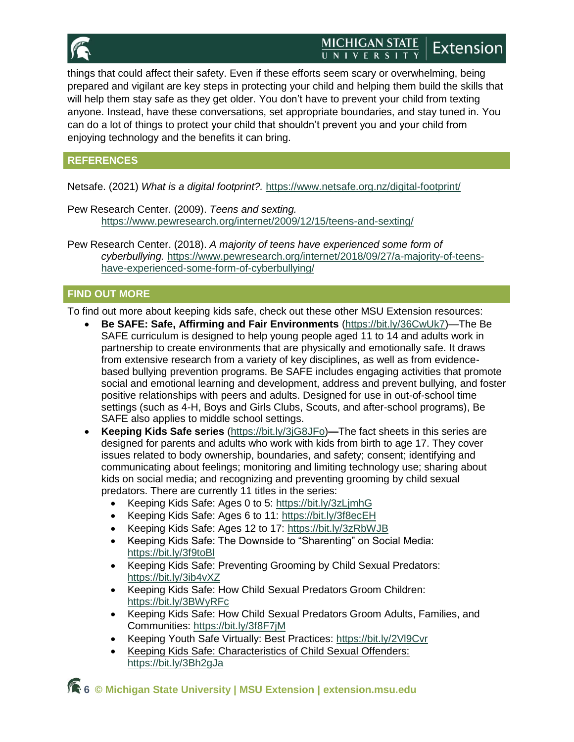

#### **MICHIGAN STATE** Extension UNIVERSITY

things that could affect their safety. Even if these efforts seem scary or overwhelming, being prepared and vigilant are key steps in protecting your child and helping them build the skills that will help them stay safe as they get older. You don't have to prevent your child from texting anyone. Instead, have these conversations, set appropriate boundaries, and stay tuned in. You can do a lot of things to protect your child that shouldn't prevent you and your child from enjoying technology and the benefits it can bring.

# **REFERENCES**

Netsafe. (2021) *What is a digital footprint?.* <https://www.netsafe.org.nz/digital-footprint/>

Pew Research Center. (2009). *Teens and sexting.*  <https://www.pewresearch.org/internet/2009/12/15/teens-and-sexting/>

Pew Research Center. (2018). *A majority of teens have experienced some form of cyberbullying.* [https://www.pewresearch.org/internet/2018/09/27/a-majority-of-teens](https://www.pewresearch.org/internet/2018/09/27/a-majority-of-teens-have-experienced-some-form-of-cyberbullying/)[have-experienced-some-form-of-cyberbullying/](https://www.pewresearch.org/internet/2018/09/27/a-majority-of-teens-have-experienced-some-form-of-cyberbullying/)

# **FIND OUT MORE**

To find out more about keeping kids safe, check out these other MSU Extension resources:

- **Be SAFE: Safe, Affirming and Fair Environments** [\(https://bit.ly/36CwUk7\)](https://bit.ly/36CwUk7)—The Be SAFE curriculum is designed to help young people aged 11 to 14 and adults work in partnership to create environments that are physically and emotionally safe. It draws from extensive research from a variety of key disciplines, as well as from evidencebased bullying prevention programs. Be SAFE includes engaging activities that promote social and emotional learning and development, address and prevent bullying, and foster positive relationships with peers and adults. Designed for use in out-of-school time settings (such as 4-H, Boys and Girls Clubs, Scouts, and after-school programs), Be SAFE also applies to middle school settings.
- **Keeping Kids Safe series** [\(https://bit.ly/3jG8JFo\)](https://bit.ly/3jG8JFo)**—**The fact sheets in this series are designed for parents and adults who work with kids from birth to age 17. They cover issues related to body ownership, boundaries, and safety; consent; identifying and communicating about feelings; monitoring and limiting technology use; sharing about kids on social media; and recognizing and preventing grooming by child sexual predators. There are currently 11 titles in the series:
	- Keeping Kids Safe: Ages 0 to 5:<https://bit.ly/3zLjmhG>
	- Keeping Kids Safe: Ages 6 to 11:<https://bit.ly/3f8ecEH>
	- Keeping Kids Safe: Ages 12 to 17:<https://bit.ly/3zRbWJB>
	- Keeping Kids Safe: The Downside to "Sharenting" on Social Media: <https://bit.ly/3f9toBl>
	- Keeping Kids Safe: Preventing Grooming by Child Sexual Predators: <https://bit.ly/3ib4vXZ>
	- Keeping Kids Safe: How Child Sexual Predators Groom Children: <https://bit.ly/3BWyRFc>
	- Keeping Kids Safe: How Child Sexual Predators Groom Adults, Families, and Communities:<https://bit.ly/3f8F7jM>
	- Keeping Youth Safe Virtually: Best Practices:<https://bit.ly/2Vl9Cvr>
	- Keeping Kids Safe: Characteristics of Child Sexual Offenders: <https://bit.ly/3Bh2gJa>